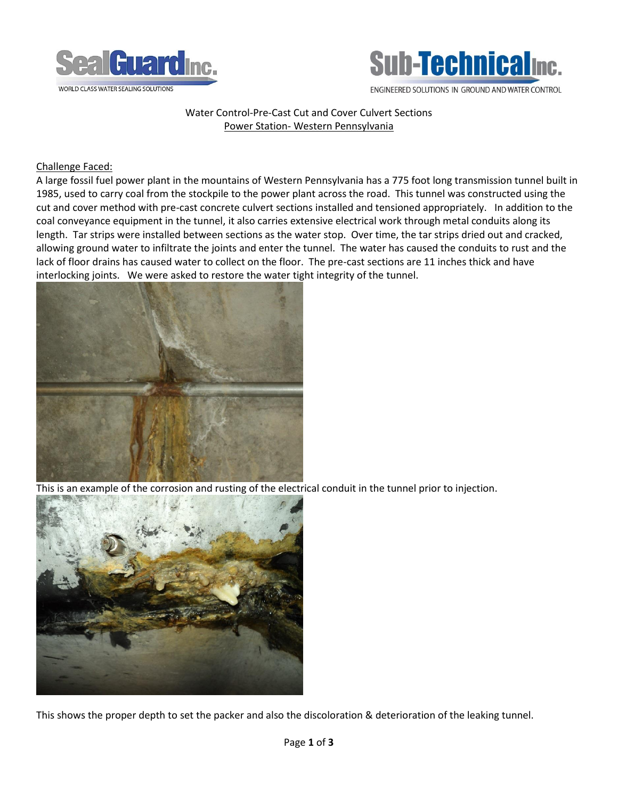



## Water Control-Pre-Cast Cut and Cover Culvert Sections Power Station- Western Pennsylvania

## Challenge Faced:

A large fossil fuel power plant in the mountains of Western Pennsylvania has a 775 foot long transmission tunnel built in 1985, used to carry coal from the stockpile to the power plant across the road. This tunnel was constructed using the cut and cover method with pre-cast concrete culvert sections installed and tensioned appropriately. In addition to the coal conveyance equipment in the tunnel, it also carries extensive electrical work through metal conduits along its length. Tar strips were installed between sections as the water stop. Over time, the tar strips dried out and cracked, allowing ground water to infiltrate the joints and enter the tunnel. The water has caused the conduits to rust and the lack of floor drains has caused water to collect on the floor. The pre-cast sections are 11 inches thick and have interlocking joints. We were asked to restore the water tight integrity of the tunnel.



This is an example of the corrosion and rusting of the electrical conduit in the tunnel prior to injection.



This shows the proper depth to set the packer and also the discoloration & deterioration of the leaking tunnel.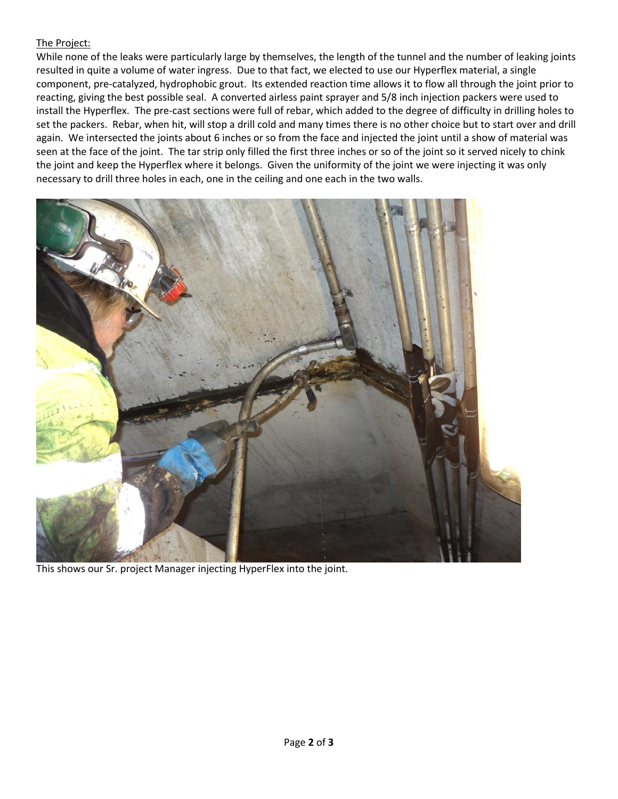## The Project:

While none of the leaks were particularly large by themselves, the length of the tunnel and the number of leaking joints resulted in quite a volume of water ingress. Due to that fact, we elected to use our Hyperflex material, a single component, pre-catalyzed, hydrophobic grout. Its extended reaction time allows it to flow all through the joint prior to reacting, giving the best possible seal. A converted airless paint sprayer and 5/8 inch injection packers were used to install the Hyperflex. The pre-cast sections were full of rebar, which added to the degree of difficulty in drilling holes to set the packers. Rebar, when hit, will stop a drill cold and many times there is no other choice but to start over and drill again. We intersected the joints about 6 inches or so from the face and injected the joint until a show of material was seen at the face of the joint. The tar strip only filled the first three inches or so of the joint so it served nicely to chink the joint and keep the Hyperflex where it belongs. Given the uniformity of the joint we were injecting it was only necessary to drill three holes in each, one in the ceiling and one each in the two walls.



This shows our Sr. project Manager injecting HyperFlex into the joint.